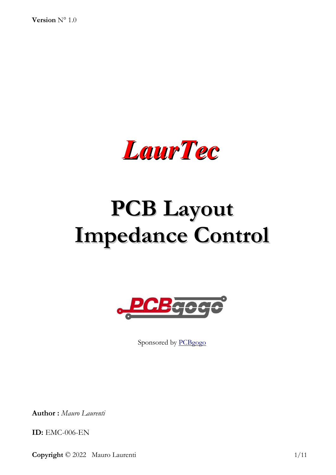**Version** N° 1.0



# **PCB Layout Impedance Control**



Sponsored by [PCBgogo](http://www.pcbgogo.com/)

**Author :** *Mauro Laurenti*

**ID:** EMC-006-EN

**Copyright** © 2022 Mauro Laurenti 1/11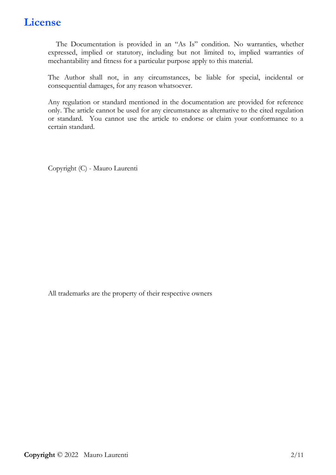#### **License**

The Documentation is provided in an "As Is" condition. No warranties, whether expressed, implied or statutory, including but not limited to, implied warranties of mechantability and fitness for a particular purpose apply to this material.

The Author shall not, in any circumstances, be liable for special, incidental or consequential damages, for any reason whatsoever.

Any regulation or standard mentioned in the documentation are provided for reference only. The article cannot be used for any circumstance as alternative to the cited regulation or standard. You cannot use the article to endorse or claim your conformance to a certain standard.

Copyright (C) - Mauro Laurenti

All trademarks are the property of their respective owners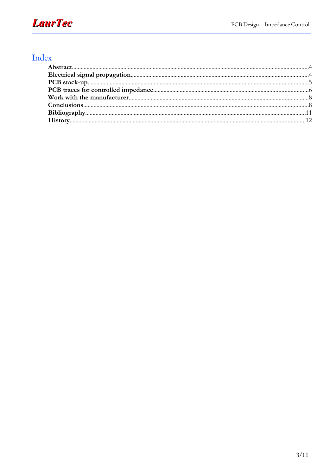# **LaurTec**

#### Index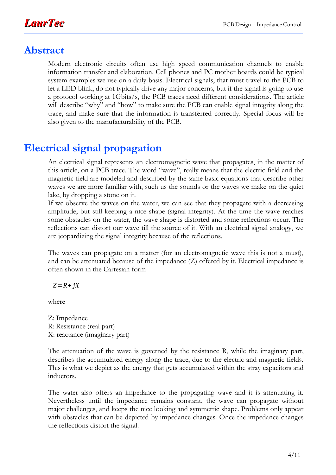### **Abstract**

Modern electronic circuits often use high speed communication channels to enable information transfer and elaboration. Cell phones and PC mother boards could be typical system examples we use on a daily basis. Electrical signals, that must travel to the PCB to let a LED blink, do not typically drive any major concerns, but if the signal is going to use a protocol working at 1Gbits/s, the PCB traces need different considerations. The article will describe "why" and "how" to make sure the PCB can enable signal integrity along the trace, and make sure that the information is transferred correctly. Special focus will be also given to the manufacturability of the PCB.

# **Electrical signal propagation**

An electrical signal represents an electromagnetic wave that propagates, in the matter of this article, on a PCB trace. The word "wave", really means that the electric field and the magnetic field are modeled and described by the same basic equations that describe other waves we are more familiar with, such us the sounds or the waves we make on the quiet lake, by dropping a stone on it.

If we observe the waves on the water, we can see that they propagate with a decreasing amplitude, but still keeping a nice shape (signal integrity). At the time the wave reaches some obstacles on the water, the wave shape is distorted and some reflections occur. The reflections can distort our wave till the source of it. With an electrical signal analogy, we are jeopardizing the signal integrity because of the reflections.

The waves can propagate on a matter (for an electromagnetic wave this is not a must), and can be attenuated because of the impedance (Z) offered by it. Electrical impedance is often shown in the Cartesian form

*Z*=*R*+ *jX*

where

Z: Impedance R: Resistance (real part) X: reactance (imaginary part)

The attenuation of the wave is governed by the resistance R, while the imaginary part, describes the accumulated energy along the trace, due to the electric and magnetic fields. This is what we depict as the energy that gets accumulated within the stray capacitors and inductors.

The water also offers an impedance to the propagating wave and it is attenuating it. Nevertheless until the impedance remains constant, the wave can propagate without major challenges, and keeps the nice looking and symmetric shape. Problems only appear with obstacles that can be depicted by impedance changes. Once the impedance changes the reflections distort the signal.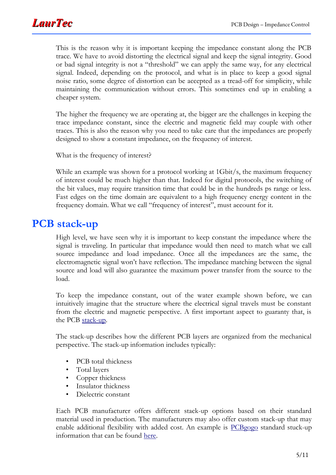

This is the reason why it is important keeping the impedance constant along the PCB trace. We have to avoid distorting the electrical signal and keep the signal integrity. Good or bad signal integrity is not a "threshold" we can apply the same way, for any electrical signal. Indeed, depending on the protocol, and what is in place to keep a good signal noise ratio, some degree of distortion can be accepted as a tread-off for simplicity, while maintaining the communication without errors. This sometimes end up in enabling a cheaper system.

The higher the frequency we are operating at, the bigger are the challenges in keeping the trace impedance constant, since the electric and magnetic field may couple with other traces. This is also the reason why you need to take care that the impedances are properly designed to show a constant impedance, on the frequency of interest.

What is the frequency of interest?

While an example was shown for a protocol working at 1Gbit/s, the maximum frequency of interest could be much higher than that. Indeed for digital protocols, the switching of the bit values, may require transition time that could be in the hundreds ps range or less. Fast edges on the time domain are equivalent to a high frequency energy content in the frequency domain. What we call "frequency of interest", must account for it.

#### **PCB stack-up**

High level, we have seen why it is important to keep constant the impedance where the signal is traveling. In particular that impedance would then need to match what we call source impedance and load impedance. Once all the impedances are the same, the electromagnetic signal won't have reflection. The impedance matching between the signal source and load will also guarantee the maximum power transfer from the source to the load.

To keep the impedance constant, out of the water example shown before, we can intuitively imagine that the structure where the electrical signal travels must be constant from the electric and magnetic perspective. A first important aspect to guaranty that, is the PCB [stack-up.](https://www.pcbgogo.com/knowledge-center/PCB_Layer_stack_up.html)

The stack-up describes how the different PCB layers are organized from the mechanical perspective. The stack-up information includes typically:

- PCB total thickness
- Total layers
- Copper thickness
- Insulator thickness
- Dielectric constant

Each PCB manufacturer offers different stack-up options based on their standard material used in production. The manufacturers may also offer custom stack-up that may enable additional flexibility with added cost. An example is **[PCBgogo](https://www.pcbgogo.com/)** standard stuck-up information that can be found [here.](http://www.pcbgogo.com/knowledge-center/PCB_Layer_stack_up.html)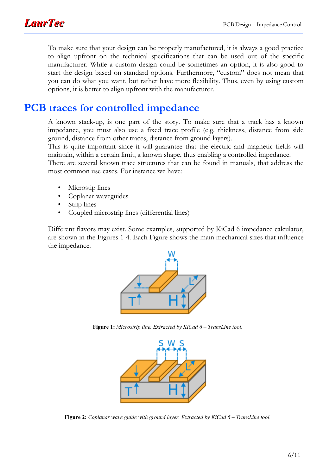

To make sure that your design can be properly manufactured, it is always a good practice to align upfront on the technical specifications that can be used out of the specific manufacturer. While a custom design could be sometimes an option, it is also good to start the design based on standard options. Furthermore, "custom" does not mean that you can do what you want, but rather have more flexibility. Thus, even by using custom options, it is better to align upfront with the manufacturer.

#### **PCB traces for controlled impedance**

A known stack-up, is one part of the story. To make sure that a track has a known impedance, you must also use a fixed trace profile (e.g. thickness, distance from side ground, distance from other traces, distance from ground layers).

This is quite important since it will guarantee that the electric and magnetic fields will maintain, within a certain limit, a known shape, thus enabling a controlled impedance.

There are several known trace structures that can be found in manuals, that address the most common use cases. For instance we have:

- Microstip lines
- Coplanar waveguides
- Strip lines
- Coupled microstrip lines (differential lines)

Different flavors may exist. Some examples, supported by KiCad 6 impedance calculator, are shown in the Figures [1](#page-5-0)[-4](#page-6-0). Each Figure shows the main mechanical sizes that influence the impedance.



**Figure 1:** *Microstrip line. Extracted by KiCad 6 – TransLine tool.*

<span id="page-5-0"></span>

**Figure 2:** *Coplanar wave guide with ground layer. Extracted by KiCad 6 – TransLine tool.*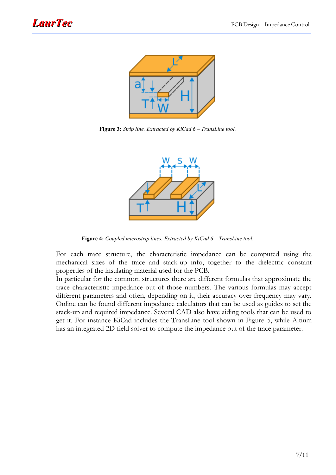

**Figure 3:** *Strip line. Extracted by KiCad 6 – TransLine tool.*



<span id="page-6-0"></span>**Figure 4:** *Coupled microstrip lines. Extracted by KiCad 6 – TransLine tool.*

For each trace structure, the characteristic impedance can be computed using the mechanical sizes of the trace and stack-up info, together to the dielectric constant properties of the insulating material used for the PCB.

In particular for the common structures there are different formulas that approximate the trace characteristic impedance out of those numbers. The various formulas may accept different parameters and often, depending on it, their accuracy over frequency may vary. Online can be found different impedance calculators that can be used as guides to set the stack-up and required impedance. Several CAD also have aiding tools that can be used to get it. For instance KiCad includes the TransLine tool shown in Figure [5](#page-7-0), while Altium has an integrated 2D field solver to compute the impedance out of the trace parameter.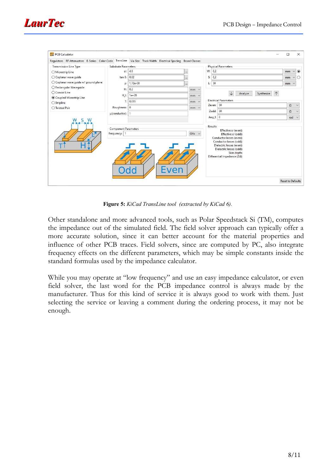

| <b>PCB Calculator</b>                                                                                         |                                               |            |     |            |             |                                                                                                                                                             | $\Box$                   | $\times$                |
|---------------------------------------------------------------------------------------------------------------|-----------------------------------------------|------------|-----|------------|-------------|-------------------------------------------------------------------------------------------------------------------------------------------------------------|--------------------------|-------------------------|
| Regulators RF Attenuators E-Series Color Code TransLine Via Size Track Width Electrical Spacing Board Classes |                                               |            |     |            |             |                                                                                                                                                             |                          |                         |
| Transmission Line Type                                                                                        | Substrate Parameters                          |            |     |            |             | <b>Physical Parameters</b>                                                                                                                                  |                          |                         |
| ○ Microstrip Line                                                                                             | er: 4,6                                       |            |     | $\cdots$   | W: 0,2      |                                                                                                                                                             | mm                       | $\circ$<br>$\checkmark$ |
| ○ Coplanar wave quide                                                                                         | tan $\delta$ : 0,02                           |            |     | $\cdots$   | S: 0,2      |                                                                                                                                                             | mm                       | $\checkmark$<br>O       |
| ○ Coplanar wave quide w/ ground plane                                                                         | р:                                            | $1,72e-08$ |     |            | L: 50       |                                                                                                                                                             | $mm \vee$                |                         |
| ○ Rectangular Wavequide                                                                                       | H:                                            | 0,2        |     | $mm \vee$  |             |                                                                                                                                                             |                          |                         |
| ○ Coaxial Line                                                                                                | H_t:                                          | $1e+20$    |     |            |             | Analyze<br>Synthesize                                                                                                                                       |                          |                         |
| Coupled Microstrip Line                                                                                       |                                               |            |     | $mm \vee$  |             | <b>Electrical Parameters</b>                                                                                                                                |                          |                         |
| $\bigcirc$ Stripline                                                                                          | T:                                            | 0,035      |     | $mm \vee$  | Zeven: 50   |                                                                                                                                                             | $\Omega$                 | $\checkmark$            |
| ◯ Twisted Pair                                                                                                | Roughness: 0                                  |            |     | $mm \vee$  | $Z$ odd: 50 |                                                                                                                                                             |                          |                         |
|                                                                                                               | $\mu$ (conductor): 1                          |            |     |            | Ang_l: 0    |                                                                                                                                                             | $\Omega$<br>rad          | $\checkmark$            |
|                                                                                                               | <b>Component Parameters</b><br>Frequency:   1 |            |     | $GHz \sim$ | Results     | Effective ar (even):<br>Effective <i>er</i> (odd):                                                                                                          |                          |                         |
|                                                                                                               | Odd                                           |            | 'er |            |             | Conductor losses (even):<br>Conductor losses (odd):<br>Dielectric losses (even):<br>Dielectric losses (odd):<br>Skin depth:<br>Differential Impedance (Zd): | <b>Reset to Defaults</b> |                         |

<span id="page-7-0"></span>**Figure 5:** *KiCad TransLine tool (extracted by KiCad 6).*

Other standalone and more advanced tools, such as Polar Speedstack Si (TM), computes the impedance out of the simulated field. The field solver approach can typically offer a more accurate solution, since it can better account for the material properties and influence of other PCB traces. Field solvers, since are computed by PC, also integrate frequency effects on the different parameters, which may be simple constants inside the standard formulas used by the impedance calculator.

While you may operate at "low frequency" and use an easy impedance calculator, or even field solver, the last word for the PCB impedance control is always made by the manufacturer. Thus for this kind of service it is always good to work with them. Just selecting the service or leaving a comment during the ordering process, it may not be enough.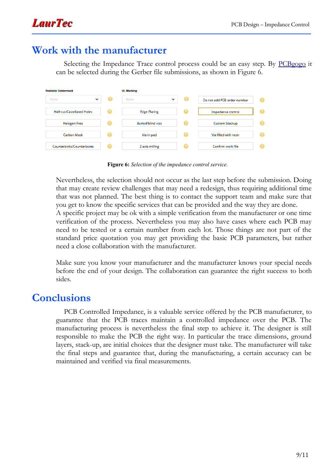## **Work with the manufacturer**

Selecting the Impedance Trace control process could be an easy step. By [PCBgogo](https://www.pcbgogo.com/) it can be selected during the Gerber file submissions, as shown in Figure [6.](#page-8-0)

| <b>Peelable Soldermask</b> |   | <b>UL Marking</b>        |   |                             |  |  |
|----------------------------|---|--------------------------|---|-----------------------------|--|--|
| None<br>$\checkmark$       | Ø | None<br>$\checkmark$     | Ø | Do not add PCB order number |  |  |
| Half-cut/Castellated Holes | 2 | <b>Edge Plating</b>      | 2 | Impedance control           |  |  |
| Halogen-Free               | 2 | <b>Buried/blind vias</b> | 2 | Custom Stackup              |  |  |
| <b>Carbon Mask</b>         | Q | Via in pad               | 2 | Via filled with resin       |  |  |
| Countersinks/Counterbores  | 2 | Z-axis milling           |   | Confirm work file           |  |  |

<span id="page-8-0"></span>**Figure 6:** *Selection of the impedance control service.*

Nevertheless, the selection should not occur as the last step before the submission. Doing that may create review challenges that may need a redesign, thus requiring additional time that was not planned. The best thing is to contact the support team and make sure that you get to know the specific services that can be provided and the way they are done.

A specific project may be ok with a simple verification from the manufacturer or one time verification of the process. Nevertheless you may also have cases where each PCB may need to be tested or a certain number from each lot. Those things are not part of the standard price quotation you may get providing the basic PCB parameters, but rather need a close collaboration with the manufacturer.

Make sure you know your manufacturer and the manufacturer knows your special needs before the end of your design. The collaboration can guarantee the right success to both sides.

#### **Conclusions**

PCB Controlled Impedance, is a valuable service offered by the PCB manufacturer, to guarantee that the PCB traces maintain a controlled impedance over the PCB. The manufacturing process is nevertheless the final step to achieve it. The designer is still responsible to make the PCB the right way. In particular the trace dimensions, ground layers, stack-up, are initial choices that the designer must take. The manufacturer will take the final steps and guarantee that, during the manufacturing, a certain accuracy can be maintained and verified via final measurements.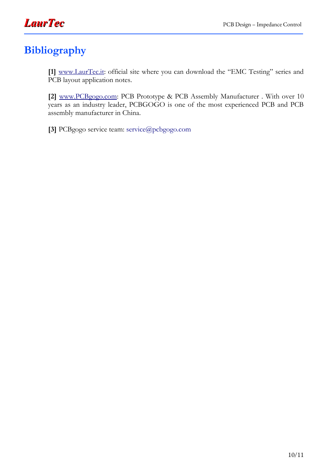

# **Bibliography**

**[1]** [www.LaurTec.it:](http://www.LaurTec.it/) official site where you can download the "EMC Testing" series and PCB layout application notes.

**[2]** [www. PCBgogo.com](http://www.PCBgogo.com/): PCB Prototype & PCB Assembly Manufacturer . With over 10 years as an industry leader, PCBGOGO is one of the most experienced PCB and PCB assembly manufacturer in China.

**[3]** PCBgogo service team: [service@pcbgogo.com](mailto:service@pcbgogo.com)